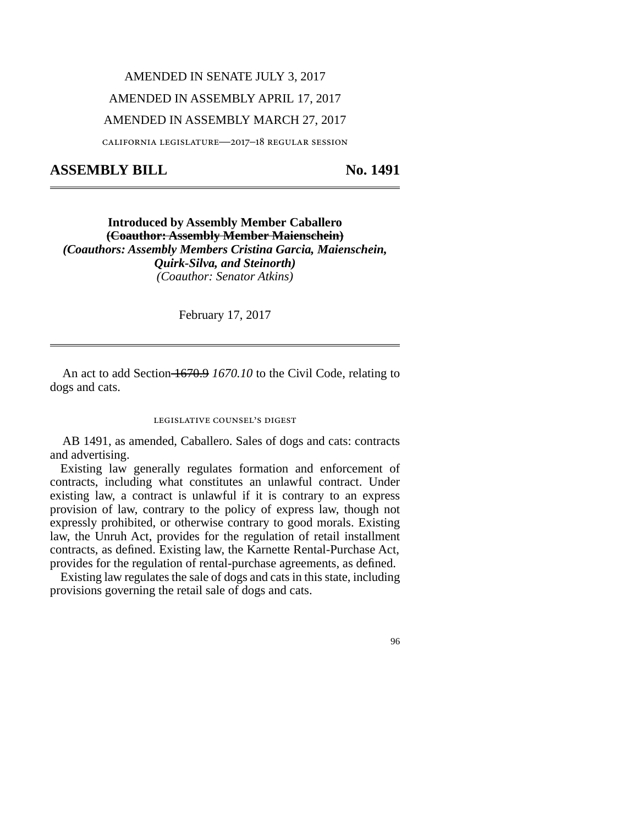## AMENDED IN SENATE JULY 3, 2017 AMENDED IN ASSEMBLY APRIL 17, 2017 AMENDED IN ASSEMBLY MARCH 27, 2017

california legislature—2017–18 regular session

## ASSEMBLY BILL No. 1491

**Introduced by Assembly Member Caballero (Coauthor: Assembly Member Maienschein)** *(Coauthors: Assembly Members Cristina Garcia, Maienschein, Quirk-Silva, and Steinorth) (Coauthor: Senator Atkins)*

February 17, 2017

An act to add Section 1670.9 1670.10 to the Civil Code, relating to dogs and cats.

## legislative counsel's digest

AB 1491, as amended, Caballero. Sales of dogs and cats: contracts and advertising.

Existing law generally regulates formation and enforcement of contracts, including what constitutes an unlawful contract. Under existing law, a contract is unlawful if it is contrary to an express provision of law, contrary to the policy of express law, though not expressly prohibited, or otherwise contrary to good morals. Existing law, the Unruh Act, provides for the regulation of retail installment contracts, as defined. Existing law, the Karnette Rental-Purchase Act, provides for the regulation of rental-purchase agreements, as defined.

Existing law regulates the sale of dogs and cats in this state, including provisions governing the retail sale of dogs and cats.

96